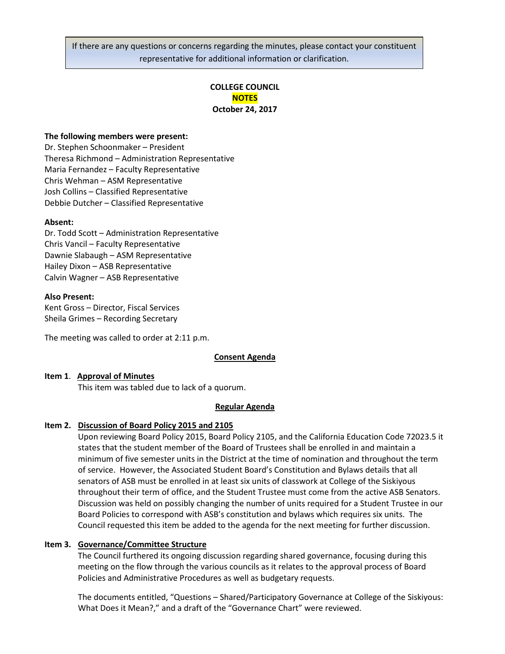If there are any questions or concerns regarding the minutes, please contact your constituent representative for additional information or clarification.

# **COLLEGE COUNCIL NOTES October 24, 2017**

### **The following members were present:**

Dr. Stephen Schoonmaker – President Theresa Richmond – Administration Representative Maria Fernandez – Faculty Representative Chris Wehman – ASM Representative Josh Collins – Classified Representative Debbie Dutcher – Classified Representative

#### **Absent:**

Dr. Todd Scott – Administration Representative Chris Vancil – Faculty Representative Dawnie Slabaugh – ASM Representative Hailey Dixon – ASB Representative Calvin Wagner – ASB Representative

#### **Also Present:**

Kent Gross – Director, Fiscal Services Sheila Grimes – Recording Secretary

The meeting was called to order at 2:11 p.m.

#### **Consent Agenda**

#### **Item 1**. **Approval of Minutes**

This item was tabled due to lack of a quorum.

### **Regular Agenda**

#### **Item 2. Discussion of Board Policy 2015 and 2105**

Upon reviewing Board Policy 2015, Board Policy 2105, and the California Education Code 72023.5 it states that the student member of the Board of Trustees shall be enrolled in and maintain a minimum of five semester units in the District at the time of nomination and throughout the term of service. However, the Associated Student Board's Constitution and Bylaws details that all senators of ASB must be enrolled in at least six units of classwork at College of the Siskiyous throughout their term of office, and the Student Trustee must come from the active ASB Senators. Discussion was held on possibly changing the number of units required for a Student Trustee in our Board Policies to correspond with ASB's constitution and bylaws which requires six units. The Council requested this item be added to the agenda for the next meeting for further discussion.

# **Item 3. Governance/Committee Structure**

The Council furthered its ongoing discussion regarding shared governance, focusing during this meeting on the flow through the various councils as it relates to the approval process of Board Policies and Administrative Procedures as well as budgetary requests.

The documents entitled, "Questions – Shared/Participatory Governance at College of the Siskiyous: What Does it Mean?," and a draft of the "Governance Chart" were reviewed.